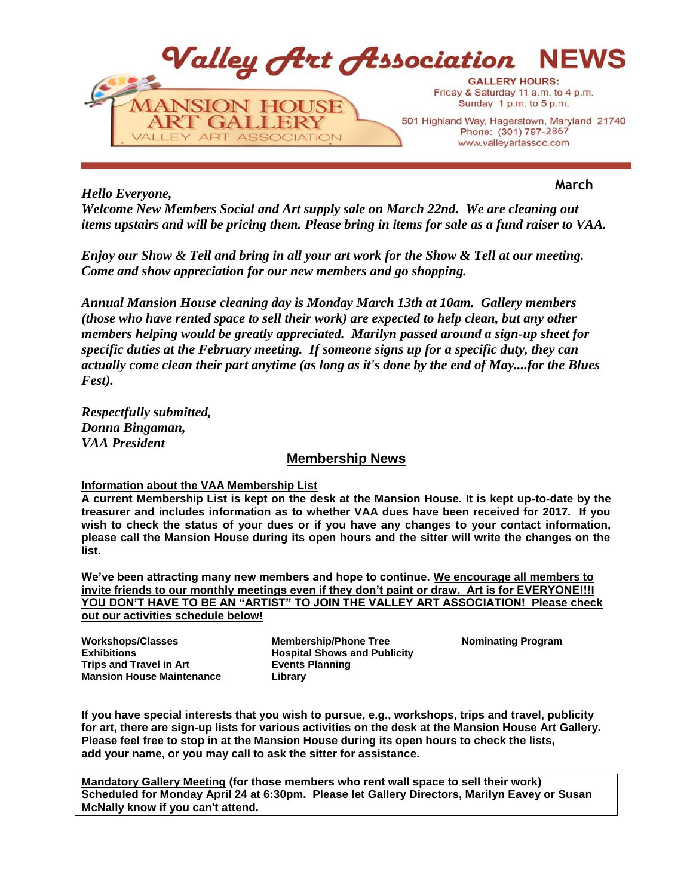

*Hello Everyone,*

**March**

*Welcome New Members Social and Art supply sale on March 22nd. We are cleaning out items upstairs and will be pricing them. Please bring in items for sale as a fund raiser to VAA.* 

*Enjoy our Show & Tell and bring in all your art work for the Show & Tell at our meeting. Come and show appreciation for our new members and go shopping.*

*Annual Mansion House cleaning day is Monday March 13th at 10am. Gallery members (those who have rented space to sell their work) are expected to help clean, but any other members helping would be greatly appreciated. Marilyn passed around a sign-up sheet for specific duties at the February meeting. If someone signs up for a specific duty, they can actually come clean their part anytime (as long as it's done by the end of May....for the Blues Fest).* 

*Respectfully submitted, Donna Bingaman, VAA President* 

# **Membership News**

# **Information about the VAA Membership List**

**A current Membership List is kept on the desk at the Mansion House. It is kept up-to-date by the treasurer and includes information as to whether VAA dues have been received for 2017. If you wish to check the status of your dues or if you have any changes to your contact information, please call the Mansion House during its open hours and the sitter will write the changes on the list.**

**We've been attracting many new members and hope to continue. We encourage all members to invite friends to our monthly meetings even if they don't paint or draw. Art is for EVERYONE!!!I YOU DON'T HAVE TO BE AN "ARTIST" TO JOIN THE VALLEY ART ASSOCIATION! Please check out our activities schedule below!**

**Workshops/Classes Exhibitions Trips and Travel in Art Mansion House Maintenance**

**Membership/Phone Tree Hospital Shows and Publicity Events Planning Library**

**Nominating Program**

**If you have special interests that you wish to pursue, e.g., workshops, trips and travel, publicity for art, there are sign-up lists for various activities on the desk at the Mansion House Art Gallery. Please feel free to stop in at the Mansion House during its open hours to check the lists, add your name, or you may call to ask the sitter for assistance.**

**Mandatory Gallery Meeting (for those members who rent wall space to sell their work) Scheduled for Monday April 24 at 6:30pm. Please let Gallery Directors, Marilyn Eavey or Susan McNally know if you can't attend.**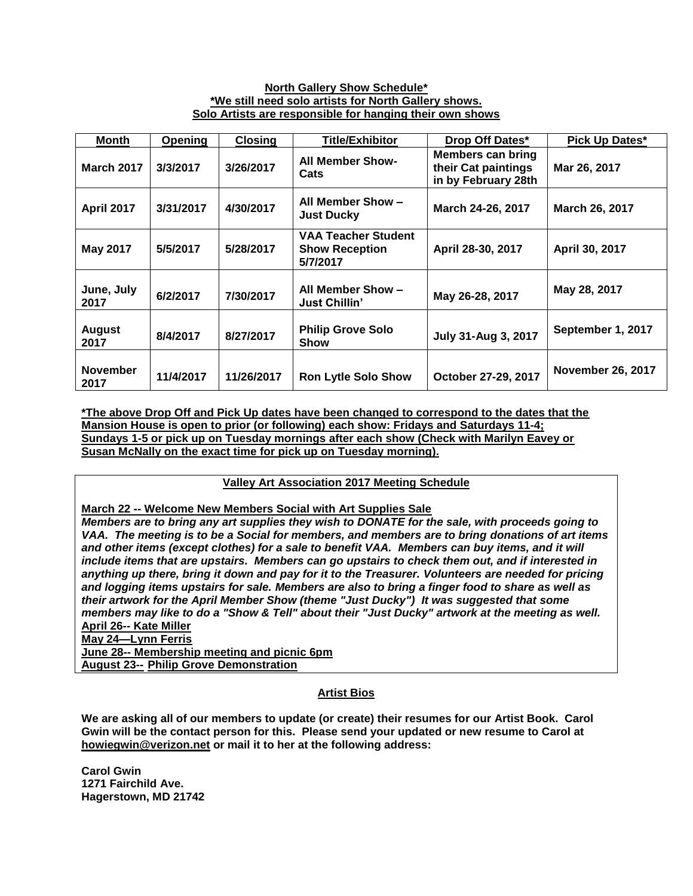### **North Gallery Show Schedule\* \*We still need solo artists for North Gallery shows. Solo Artists are responsible for hanging their own shows**

| <b>Month</b>            | Opening   | <b>Closing</b> | <b>Title/Exhibitor</b>                                                               | Drop Off Dates*                                                 | <b>Pick Up Dates*</b>    |
|-------------------------|-----------|----------------|--------------------------------------------------------------------------------------|-----------------------------------------------------------------|--------------------------|
| <b>March 2017</b>       | 3/3/2017  | 3/26/2017      | <b>All Member Show-</b><br>Cats                                                      | Members can bring<br>their Cat paintings<br>in by February 28th | Mar 26, 2017             |
| <b>April 2017</b>       | 3/31/2017 | 4/30/2017      | All Member Show -<br><b>Just Ducky</b>                                               | March 24-26, 2017                                               | March 26, 2017           |
| <b>May 2017</b>         | 5/5/2017  | 5/28/2017      | <b>VAA Teacher Student</b><br><b>Show Reception</b><br>April 28-30, 2017<br>5/7/2017 |                                                                 | April 30, 2017           |
| June, July<br>2017      | 6/2/2017  | 7/30/2017      | All Member Show -<br><b>Just Chillin'</b>                                            | May 26-28, 2017                                                 | May 28, 2017             |
| <b>August</b><br>2017   | 8/4/2017  | 8/27/2017      | <b>Philip Grove Solo</b><br>July 31-Aug 3, 2017<br><b>Show</b>                       |                                                                 | September 1, 2017        |
| <b>November</b><br>2017 | 11/4/2017 | 11/26/2017     | <b>Ron Lytle Solo Show</b>                                                           | October 27-29, 2017                                             | <b>November 26, 2017</b> |

**\*The above Drop Off and Pick Up dates have been changed to correspond to the dates that the Mansion House is open to prior (or following) each show: Fridays and Saturdays 11-4; Sundays 1-5 or pick up on Tuesday mornings after each show (Check with Marilyn Eavey or Susan McNally on the exact time for pick up on Tuesday morning).**

# **Valley Art Association 2017 Meeting Schedule**

**March 22 -- Welcome New Members Social with Art Supplies Sale**

*Members are to bring any art supplies they wish to DONATE for the sale, with proceeds going to VAA. The meeting is to be a Social for members, and members are to bring donations of art items and other items (except clothes) for a sale to benefit VAA. Members can buy items, and it will include items that are upstairs. Members can go upstairs to check them out, and if interested in anything up there, bring it down and pay for it to the Treasurer. Volunteers are needed for pricing and logging items upstairs for sale. Members are also to bring a finger food to share as well as their artwork for the April Member Show (theme "Just Ducky") It was suggested that some members may like to do a "Show & Tell" about their "Just Ducky" artwork at the meeting as well.*  **April 26-- Kate Miller**

**May 24—Lynn Ferris**

**June 28-- Membership meeting and picnic 6pm August 23-- Philip Grove Demonstration**

# **Artist Bios**

**We are asking all of our members to update (or create) their resumes for our Artist Book. Carol Gwin will be the contact person for this. Please send your updated or new resume to Carol at howiegwin@verizon.net or mail it to her at the following address:**

**Carol Gwin 1271 Fairchild Ave. Hagerstown, MD 21742**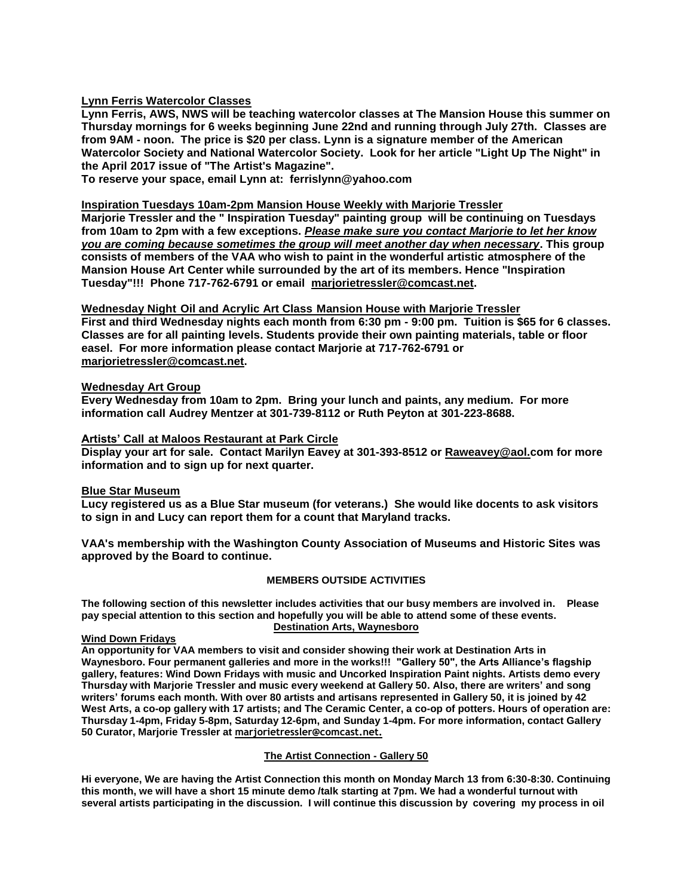### **Lynn Ferris Watercolor Classes**

**Lynn Ferris, AWS, NWS will be teaching watercolor classes at The Mansion House this summer on Thursday mornings for 6 weeks beginning June 22nd and running through July 27th. Classes are from 9AM - noon. The price is \$20 per class. Lynn is a signature member of the American Watercolor Society and National Watercolor Society. Look for her article "Light Up The Night" in the April 2017 issue of "The Artist's Magazine".**

**To reserve your space, email Lynn at: ferrislynn@yahoo.com**

# **Inspiration Tuesdays 10am-2pm Mansion House Weekly with Marjorie Tressler**

**Marjorie Tressler and the " Inspiration Tuesday" painting group will be continuing on Tuesdays from 10am to 2pm with a few exceptions.** *Please make sure you contact Marjorie to let her know you are coming because sometimes the group will meet another day when necessary***. This group consists of members of the VAA who wish to paint in the wonderful artistic atmosphere of the Mansion House Art Center while surrounded by the art of its members. Hence "Inspiration Tuesday"!!! Phone 717-762-6791 or email marjorietressler@comcast.net.**

### **Wednesday Night Oil and Acrylic Art Class Mansion House with Marjorie Tressler**

**First and third Wednesday nights each month from 6:30 pm - 9:00 pm. Tuition is \$65 for 6 classes. Classes are for all painting levels. Students provide their own painting materials, table or floor easel. For more information please contact Marjorie at 717-762-6791 or [marjorietressler@comcast.net.](mailto:marjorietressler@comcast.net)**

### **Wednesday Art Group**

**Every Wednesday from 10am to 2pm. Bring your lunch and paints, any medium. For more information call Audrey Mentzer at 301-739-8112 or Ruth Peyton at 301-223-8688.**

### **Artists' Call at Maloos Restaurant at Park Circle**

**Display your art for sale. Contact Marilyn Eavey at 301-393-8512 or [Raweavey@aol.com](mailto:Raweavey@aol.com) for more information and to sign up for next quarter.**

#### **Blue Star Museum**

**Lucy registered us as a Blue Star museum (for veterans.) She would like docents to ask visitors to sign in and Lucy can report them for a count that Maryland tracks.** 

**VAA's membership with the Washington County Association of Museums and Historic Sites was approved by the Board to continue.** 

#### **MEMBERS OUTSIDE ACTIVITIES**

**The following section of this newsletter includes activities that our busy members are involved in. Please pay special attention to this section and hopefully you will be able to attend some of these events. Destination Arts, Waynesboro**

#### **Wind Down Fridays**

**An opportunity for VAA members to visit and consider showing their work at Destination Arts in Waynesboro. Four permanent galleries and more in the works!!! "Gallery 50", the Arts Alliance's flagship gallery, features: Wind Down Fridays with music and Uncorked Inspiration Paint nights. Artists demo every Thursday with Marjorie Tressler and music every weekend at Gallery 50. Also, there are writers' and song writers' forums each month. With over 80 artists and artisans represented in Gallery 50, it is joined by 42 West Arts, a co-op gallery with 17 artists; and The Ceramic Center, a co-op of potters. Hours of operation are: Thursday 1-4pm, Friday 5-8pm, Saturday 12-6pm, and Sunday 1-4pm. For more information, contact Gallery 50 Curator, Marjorie Tressler at [marjorietressler@comcast.net.](mailto:marjorietressler@comcast.net)**

#### **The Artist Connection - Gallery 50**

**Hi everyone, We are having the Artist Connection this month on Monday March 13 from 6:30-8:30. Continuing this month, we will have a short 15 minute demo /talk starting at 7pm. We had a wonderful turnout with several artists participating in the discussion. I will continue this discussion by covering my process in oil**